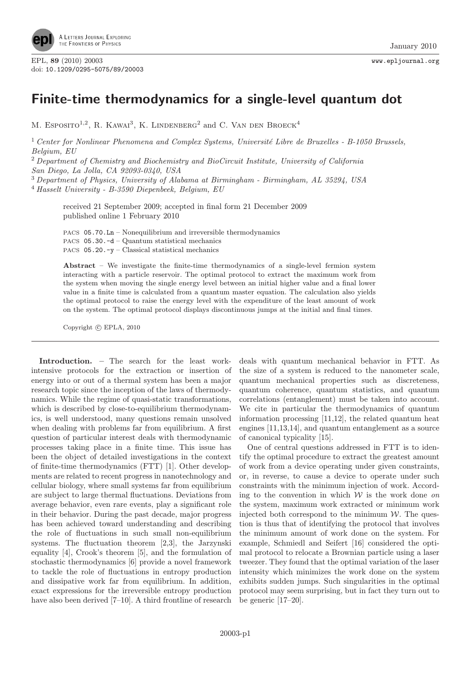

## Finite-time thermodynamics for a single-level quantum dot

M. ESPOSITO<sup>1,2</sup>, R. KAWAI<sup>3</sup>, K. LINDENBERG<sup>2</sup> and C. VAN DEN BROECK<sup>4</sup>

<sup>1</sup> Center for Nonlinear Phenomena and Complex Systems, Université Libre de Bruxelles - B-1050 Brussels, Belgium, EU

 $2$  Department of Chemistry and Biochemistry and BioCircuit Institute, University of California

San Diego, La Jolla, CA 92093-0340, USA

<sup>3</sup> Department of Physics, University of Alabama at Birmingham - Birmingham, AL 35294, USA

 $4$  Hasselt University - B-3590 Diepenbeek, Belgium, EU

received 21 September 2009; accepted in final form 21 December 2009 published online 1 February 2010

PACS 05.70.Ln – Nonequilibrium and irreversible thermodynamics PACS 05.30.-d – Quantum statistical mechanics PACS  $05.20.-y$  – Classical statistical mechanics

Abstract – We investigate the finite-time thermodynamics of a single-level fermion system interacting with a particle reservoir. The optimal protocol to extract the maximum work from the system when moving the single energy level between an initial higher value and a final lower value in a finite time is calculated from a quantum master equation. The calculation also yields the optimal protocol to raise the energy level with the expenditure of the least amount of work on the system. The optimal protocol displays discontinuous jumps at the initial and final times.

Copyright  $\odot$  EPLA, 2010

Introduction. – The search for the least workintensive protocols for the extraction or insertion of energy into or out of a thermal system has been a major research topic since the inception of the laws of thermodynamics. While the regime of quasi-static transformations, which is described by close-to-equilibrium thermodynamics, is well understood, many questions remain unsolved when dealing with problems far from equilibrium. A first question of particular interest deals with thermodynamic processes taking place in a finite time. This issue has been the object of detailed investigations in the context of finite-time thermodynamics (FTT) [1]. Other developments are related to recent progress in nanotechnology and cellular biology, where small systems far from equilibrium are subject to large thermal fluctuations. Deviations from average behavior, even rare events, play a significant role in their behavior. During the past decade, major progress has been achieved toward understanding and describing the role of fluctuations in such small non-equilibrium systems. The fluctuation theorem [2,3], the Jarzynski equality [4], Crook's theorem [5], and the formulation of stochastic thermodynamics [6] provide a novel framework to tackle the role of fluctuations in entropy production and dissipative work far from equilibrium. In addition, exact expressions for the irreversible entropy production have also been derived [7–10]. A third frontline of research deals with quantum mechanical behavior in FTT. As the size of a system is reduced to the nanometer scale, quantum mechanical properties such as discreteness, quantum coherence, quantum statistics, and quantum correlations (entanglement) must be taken into account. We cite in particular the thermodynamics of quantum information processing [11,12], the related quantum heat engines [11,13,14], and quantum entanglement as a source of canonical typicality [15].

One of central questions addressed in FTT is to identify the optimal procedure to extract the greatest amount of work from a device operating under given constraints, or, in reverse, to cause a device to operate under such constraints with the minimum injection of work. According to the convention in which  $W$  is the work done on the system, maximum work extracted or minimum work injected both correspond to the minimum  $W$ . The question is thus that of identifying the protocol that involves the minimum amount of work done on the system. For example, Schmiedl and Seifert [16] considered the optimal protocol to relocate a Brownian particle using a laser tweezer. They found that the optimal variation of the laser intensity which minimizes the work done on the system exhibits sudden jumps. Such singularities in the optimal protocol may seem surprising, but in fact they turn out to be generic [17–20].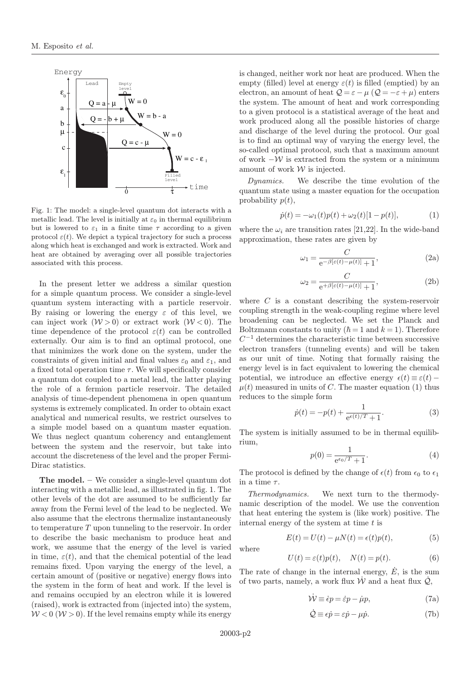

Fig. 1: The model: a single-level quantum dot interacts with a metallic lead. The level is initially at  $\varepsilon_0$  in thermal equilibrium but is lowered to  $\varepsilon_1$  in a finite time  $\tau$  according to a given protocol  $\varepsilon(t)$ . We depict a typical trajectory for such a process along which heat is exchanged and work is extracted. Work and heat are obtained by averaging over all possible trajectories associated with this process.

In the present letter we address a similar question for a simple quantum process. We consider a single-level quantum system interacting with a particle reservoir. By raising or lowering the energy  $\varepsilon$  of this level, we can inject work  $(W > 0)$  or extract work  $(W < 0)$ . The time dependence of the protocol  $\varepsilon(t)$  can be controlled externally. Our aim is to find an optimal protocol, one that minimizes the work done on the system, under the constraints of given initial and final values  $\varepsilon_0$  and  $\varepsilon_1$ , and a fixed total operation time  $\tau$ . We will specifically consider a quantum dot coupled to a metal lead, the latter playing the role of a fermion particle reservoir. The detailed analysis of time-dependent phenomena in open quantum systems is extremely complicated. In order to obtain exact analytical and numerical results, we restrict ourselves to a simple model based on a quantum master equation. We thus neglect quantum coherency and entanglement between the system and the reservoir, but take into account the discreteness of the level and the proper Fermi-Dirac statistics.

The model. – We consider a single-level quantum dot interacting with a metallic lead, as illustrated in fig. 1. The other levels of the dot are assumed to be sufficiently far away from the Fermi level of the lead to be neglected. We also assume that the electrons thermalize instantaneously to temperature T upon tunneling to the reservoir. In order to describe the basic mechanism to produce heat and work, we assume that the energy of the level is varied in time,  $\varepsilon(t)$ , and that the chemical potential of the lead remains fixed. Upon varying the energy of the level, a certain amount of (positive or negative) energy flows into the system in the form of heat and work. If the level is and remains occupied by an electron while it is lowered (raised), work is extracted from (injected into) the system,  $W < 0$  ( $W > 0$ ). If the level remains empty while its energy

is changed, neither work nor heat are produced. When the empty (filled) level at energy  $\varepsilon(t)$  is filled (emptied) by an electron, an amount of heat  $\mathcal{Q} = \varepsilon - \mu$  ( $\mathcal{Q} = -\varepsilon + \mu$ ) enters the system. The amount of heat and work corresponding to a given protocol is a statistical average of the heat and work produced along all the possible histories of charge and discharge of the level during the protocol. Our goal is to find an optimal way of varying the energy level, the so-called optimal protocol, such that a maximum amount of work  $-\mathcal{W}$  is extracted from the system or a minimum amount of work  $W$  is injected.

Dynamics. We describe the time evolution of the quantum state using a master equation for the occupation probability  $p(t)$ ,

$$
\dot{p}(t) = -\omega_1(t)p(t) + \omega_2(t)[1 - p(t)],\tag{1}
$$

where the  $\omega_i$  are transition rates [21,22]. In the wide-band approximation, these rates are given by

$$
\omega_1 = \frac{C}{e^{-\beta[\varepsilon(t) - \mu(t)]} + 1},\tag{2a}
$$

$$
\omega_2 = \frac{C}{e^{+\beta[\varepsilon(t) - \mu(t)]} + 1},\tag{2b}
$$

where  $C$  is a constant describing the system-reservoir coupling strength in the weak-coupling regime where level broadening can be neglected. We set the Planck and Boltzmann constants to unity  $(h = 1 \text{ and } k = 1)$ . Therefore  $C^{-1}$  determines the characteristic time between successive electron transfers (tunneling events) and will be taken as our unit of time. Noting that formally raising the energy level is in fact equivalent to lowering the chemical potential, we introduce an effective energy  $\epsilon(t) \equiv \epsilon(t) \mu(t)$  measured in units of C. The master equation (1) thus reduces to the simple form

$$
\dot{p}(t) = -p(t) + \frac{1}{e^{\epsilon(t)/T} + 1}.
$$
\n(3)

The system is initially assumed to be in thermal equilibrium,

$$
p(0) = \frac{1}{e^{\epsilon_0/T} + 1}.
$$
 (4)

The protocol is defined by the change of  $\epsilon(t)$  from  $\epsilon_0$  to  $\epsilon_1$ in a time  $\tau$ .

Thermodynamics. We next turn to the thermodynamic description of the model. We use the convention that heat entering the system is (like work) positive. The internal energy of the system at time  $t$  is

$$
E(t) = U(t) - \mu N(t) = \epsilon(t)p(t),
$$
\n(5)

$$
U(t) = \varepsilon(t)p(t), \quad N(t) = p(t).
$$
 (6)

The rate of change in the internal energy,  $\dot{E}$ , is the sum of two parts, namely, a work flux  $\dot{W}$  and a heat flux  $\dot{Q}$ ,

$$
\dot{\mathcal{W}} \equiv \dot{\epsilon} p = \dot{\varepsilon} p - \dot{\mu} p,\tag{7a}
$$

$$
\dot{\mathcal{Q}} \equiv \epsilon \dot{p} = \varepsilon \dot{p} - \mu \dot{p}.\tag{7b}
$$

where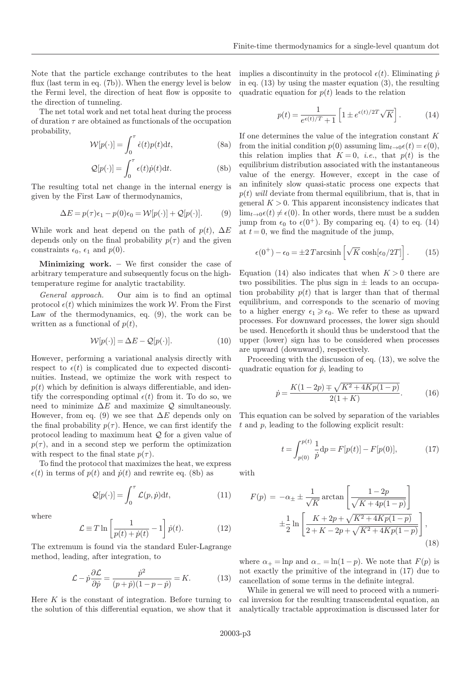Note that the particle exchange contributes to the heat flux (last term in eq. (7b)). When the energy level is below the Fermi level, the direction of heat flow is opposite to the direction of tunneling.

The net total work and net total heat during the process of duration  $\tau$  are obtained as functionals of the occupation probability,

$$
\mathcal{W}[p(\cdot)] = \int_0^\tau \dot{\epsilon}(t)p(t)dt,
$$
\n(8a)

$$
\mathcal{Q}[p(\cdot)] = \int_0^\tau \epsilon(t)\dot{p}(t)dt.
$$
 (8b)

The resulting total net change in the internal energy is given by the First Law of thermodynamics,

$$
\Delta E = p(\tau)\epsilon_1 - p(0)\epsilon_0 = \mathcal{W}[p(\cdot)] + \mathcal{Q}[p(\cdot)]. \tag{9}
$$

While work and heat depend on the path of  $p(t)$ ,  $\Delta E$ depends only on the final probability  $p(\tau)$  and the given constraints  $\epsilon_0$ ,  $\epsilon_1$  and  $p(0)$ .

**Minimizing work.** – We first consider the case of arbitrary temperature and subsequently focus on the hightemperature regime for analytic tractability.

General approach. Our aim is to find an optimal protocol  $\epsilon(t)$  which minimizes the work W. From the First Law of the thermodynamics, eq. (9), the work can be written as a functional of  $p(t)$ ,

$$
\mathcal{W}[p(\cdot)] = \Delta E - \mathcal{Q}[p(\cdot)].\tag{10}
$$

However, performing a variational analysis directly with respect to  $\epsilon(t)$  is complicated due to expected discontinuities. Instead, we optimize the work with respect to  $p(t)$  which by definition is always differentiable, and identify the corresponding optimal  $\epsilon(t)$  from it. To do so, we need to minimize  $\Delta E$  and maximize  $\mathcal Q$  simultaneously. However, from eq. (9) we see that  $\Delta E$  depends only on the final probability  $p(\tau)$ . Hence, we can first identify the protocol leading to maximum heat Q for a given value of  $p(\tau)$ , and in a second step we perform the optimization with respect to the final state  $p(\tau)$ .

To find the protocol that maximizes the heat, we express  $\epsilon(t)$  in terms of  $p(t)$  and  $\dot{p}(t)$  and rewrite eq. (8b) as

$$
\mathcal{Q}[p(\cdot)] = \int_0^\tau \mathcal{L}(p, \dot{p}) dt,\tag{11}
$$

where

$$
\mathcal{L} \equiv T \ln \left[ \frac{1}{p(t) + \dot{p}(t)} - 1 \right] \dot{p}(t). \tag{12}
$$

The extremum is found via the standard Euler-Lagrange method, leading, after integration, to

$$
\mathcal{L} - \dot{p}\frac{\partial \mathcal{L}}{\partial \dot{p}} = \frac{\dot{p}^2}{(p+\dot{p})(1-p-\dot{p})} = K.
$$
 (13)

Here  $K$  is the constant of integration. Before turning to the solution of this differential equation, we show that it implies a discontinuity in the protocol  $\epsilon(t)$ . Eliminating  $\dot{p}$ in eq. (13) by using the master equation (3), the resulting quadratic equation for  $p(t)$  leads to the relation

$$
p(t) = \frac{1}{e^{\epsilon(t)/T} + 1} \left[ 1 \pm e^{\epsilon(t)/2T} \sqrt{K} \right].
$$
 (14)

If one determines the value of the integration constant K from the initial condition  $p(0)$  assuming  $\lim_{t\to 0} \epsilon(t) = \epsilon(0)$ , this relation implies that  $K = 0$ , *i.e.*, that  $p(t)$  is the equilibrium distribution associated with the instantaneous value of the energy. However, except in the case of an infinitely slow quasi-static process one expects that  $p(t)$  will deviate from thermal equilibrium, that is, that in general  $K > 0$ . This apparent inconsistency indicates that  $\lim_{t\to 0} \epsilon(t) \neq \epsilon(0)$ . In other words, there must be a sudden jump from  $\epsilon_0$  to  $\epsilon(0^+)$ . By comparing eq. (4) to eq. (14) at  $t = 0$ , we find the magnitude of the jump,

$$
\epsilon(0^+) - \epsilon_0 = \pm 2 \operatorname{Tarcsinh}\left[\sqrt{K} \cosh[\epsilon_0/2T]\right]. \tag{15}
$$

Equation (14) also indicates that when  $K > 0$  there are two possibilities. The plus sign in  $\pm$  leads to an occupation probability  $p(t)$  that is larger than that of thermal equilibrium, and corresponds to the scenario of moving to a higher energy  $\epsilon_1 \geq \epsilon_0$ . We refer to these as upward processes. For downward processes, the lower sign should be used. Henceforth it should thus be understood that the upper (lower) sign has to be considered when processes are upward (downward), respectively.

Proceeding with the discussion of eq. (13), we solve the quadratic equation for  $\dot{p}$ , leading to

$$
\dot{p} = \frac{K(1 - 2p) \mp \sqrt{K^2 + 4Kp(1 - p)}}{2(1 + K)}.\tag{16}
$$

This equation can be solved by separation of the variables t and p, leading to the following explicit result:

$$
t = \int_{p(0)}^{p(t)} \frac{1}{\dot{p}} dp = F[p(t)] - F[p(0)], \qquad (17)
$$

with

$$
F(p) = -\alpha_{\pm} \pm \frac{1}{\sqrt{K}} \arctan\left[\frac{1 - 2p}{\sqrt{K + 4p(1 - p)}}\right] \n\pm \frac{1}{2} \ln\left[\frac{K + 2p + \sqrt{K^2 + 4Kp(1 - p)}}{2 + K - 2p + \sqrt{K^2 + 4Kp(1 - p)}}\right],
$$
\n(18)

where  $\alpha_+ = \ln p$  and  $\alpha_- = \ln(1-p)$ . We note that  $F(p)$  is not exactly the primitive of the integrand in (17) due to cancellation of some terms in the definite integral.

While in general we will need to proceed with a numerical inversion for the resulting transcendental equation, an analytically tractable approximation is discussed later for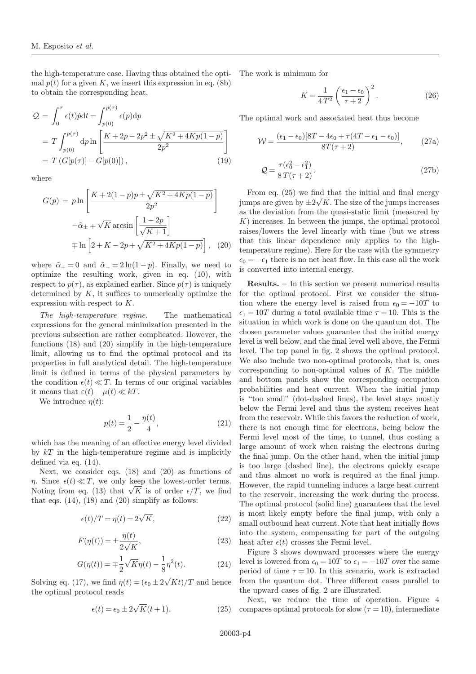the high-temperature case. Having thus obtained the optimal  $p(t)$  for a given K, we insert this expression in eq. (8b) to obtain the corresponding heat,

$$
Q = \int_0^{\tau} \epsilon(t) \dot{p} dt = \int_{p(0)}^{p(\tau)} \epsilon(p) dp
$$
  
=  $T \int_{p(0)}^{p(\tau)} dp \ln \left[ \frac{K + 2p - 2p^2 \pm \sqrt{K^2 + 4Kp(1 - p)}}{2p^2} \right]$   
=  $T (G[p(\tau)] - G[p(0)]),$  (19)

where

$$
G(p) = p \ln \left[ \frac{K + 2(1 - p)p \pm \sqrt{K^2 + 4Kp(1 - p)}}{2p^2} \right]
$$

$$
-\tilde{\alpha}_{\pm} \mp \sqrt{K} \arcsin \left[ \frac{1 - 2p}{\sqrt{K + 1}} \right]
$$

$$
\mp \ln \left[ 2 + K - 2p + \sqrt{K^2 + 4Kp(1 - p)} \right], \quad (20)
$$

where  $\tilde{\alpha}_{+} = 0$  and  $\tilde{\alpha}_{-} = 2 \ln(1-p)$ . Finally, we need to optimize the resulting work, given in eq. (10), with respect to  $p(\tau)$ , as explained earlier. Since  $p(\tau)$  is uniquely determined by  $K$ , it suffices to numerically optimize the expression with respect to K.

The high-temperature regime. The mathematical expressions for the general minimization presented in the previous subsection are rather complicated. However, the functions (18) and (20) simplify in the high-temperature limit, allowing us to find the optimal protocol and its properties in full analytical detail. The high-temperature limit is defined in terms of the physical parameters by the condition  $\epsilon(t) \ll T$ . In terms of our original variables it means that  $\varepsilon(t) - \mu(t) \ll kT$ .

We introduce  $\eta(t)$ :

$$
p(t) = \frac{1}{2} - \frac{\eta(t)}{4},\tag{21}
$$

which has the meaning of an effective energy level divided by  $kT$  in the high-temperature regime and is implicitly defined via eq. (14).

Next, we consider eqs. (18) and (20) as functions of  $\eta$ . Since  $\epsilon(t) \ll T$ , we only keep the lowest-order terms. Noting from eq. (13) that  $\sqrt{K}$  is of order  $\epsilon/T$ , we find that eqs.  $(14)$ ,  $(18)$  and  $(20)$  simplify as follows:

$$
\epsilon(t)/T = \eta(t) \pm 2\sqrt{K},\qquad(22)
$$

$$
F(\eta(t)) = \pm \frac{\eta(t)}{2\sqrt{K}},\tag{23}
$$

$$
G(\eta(t)) = \mp \frac{1}{2} \sqrt{K} \eta(t) - \frac{1}{8} \eta^{2}(t).
$$
 (24)

Solving eq. (17), we find  $\eta(t) = (\epsilon_0 \pm 2\sqrt{Kt})/T$  and hence the optimal protocol reads

$$
\epsilon(t) = \epsilon_0 \pm 2\sqrt{K}(t+1). \tag{25}
$$

The work is minimum for

$$
K = \frac{1}{4T^2} \left( \frac{\epsilon_1 - \epsilon_0}{\tau + 2} \right)^2.
$$
 (26)

The optimal work and associated heat thus become

$$
\mathcal{W} = \frac{(\epsilon_1 - \epsilon_0)[8T - 4\epsilon_0 + \tau(4T - \epsilon_1 - \epsilon_0)]}{8T(\tau + 2)},
$$
 (27a)

$$
\mathcal{Q} = \frac{\tau(\epsilon_0^2 - \epsilon_1^2)}{8T(\tau + 2)}.
$$
\n(27b)

From eq. (25) we find that the initial and final energy ition eq. (29) we find that the initial did find energy as the deviation from the quasi-static limit (measured by K) increases. In between the jumps, the optimal protocol raises/lowers the level linearly with time (but we stress that this linear dependence only applies to the hightemperature regime). Here for the case with the symmetry  $\epsilon_0 = -\epsilon_1$  there is no net heat flow. In this case all the work is converted into internal energy.

Results. – In this section we present numerical results for the optimal protocol. First we consider the situation where the energy level is raised from  $\epsilon_0 = -10T$  to  $\epsilon_1 = 10T$  during a total available time  $\tau = 10$ . This is the situation in which work is done on the quantum dot. The chosen parameter values guarantee that the initial energy level is well below, and the final level well above, the Fermi level. The top panel in fig. 2 shows the optimal protocol. We also include two non-optimal protocols, that is, ones corresponding to non-optimal values of  $K$ . The middle and bottom panels show the corresponding occupation probabilities and heat current. When the initial jump is "too small" (dot-dashed lines), the level stays mostly below the Fermi level and thus the system receives heat from the reservoir. While this favors the reduction of work, there is not enough time for electrons, being below the Fermi level most of the time, to tunnel, thus costing a large amount of work when raising the electrons during the final jump. On the other hand, when the initial jump is too large (dashed line), the electrons quickly escape and thus almost no work is required at the final jump. However, the rapid tunneling induces a large heat current to the reservoir, increasing the work during the process. The optimal protocol (solid line) guarantees that the level is most likely empty before the final jump, with only a small outbound heat current. Note that heat initially flows into the system, compensating for part of the outgoing heat after  $\epsilon(t)$  crosses the Fermi level.

Figure 3 shows downward processes where the energy level is lowered from  $\epsilon_0 = 10T$  to  $\epsilon_1 = -10T$  over the same period of time  $\tau = 10$ . In this scenario, work is extracted from the quantum dot. Three different cases parallel to the upward cases of fig. 2 are illustrated.

Next, we reduce the time of operation. Figure 4 compares optimal protocols for slow  $(\tau = 10)$ , intermediate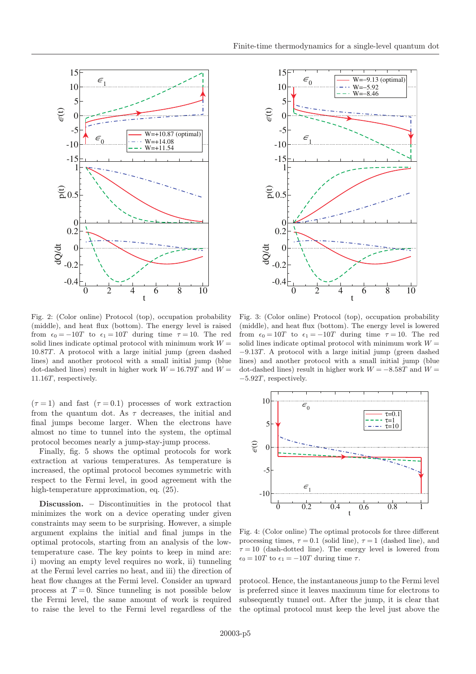

Fig. 2: (Color online) Protocol (top), occupation probability (middle), and heat flux (bottom). The energy level is raised from  $\epsilon_0 = -10T$  to  $\epsilon_1 = 10T$  during time  $\tau = 10$ . The red solid lines indicate optimal protocol with minimum work  $W =$ 10.87T. A protocol with a large initial jump (green dashed lines) and another protocol with a small initial jump (blue dot-dashed lines) result in higher work  $W = 16.79T$  and  $W =$ 11.16T, respectively.

 $(\tau = 1)$  and fast  $(\tau = 0.1)$  processes of work extraction from the quantum dot. As  $\tau$  decreases, the initial and final jumps become larger. When the electrons have almost no time to tunnel into the system, the optimal protocol becomes nearly a jump-stay-jump process.

Finally, fig. 5 shows the optimal protocols for work extraction at various temperatures. As temperature is increased, the optimal protocol becomes symmetric with respect to the Fermi level, in good agreement with the high-temperature approximation, eq.  $(25)$ .

Discussion. – Discontinuities in the protocol that minimizes the work on a device operating under given constraints may seem to be surprising. However, a simple argument explains the initial and final jumps in the optimal protocols, starting from an analysis of the lowtemperature case. The key points to keep in mind are: i) moving an empty level requires no work, ii) tunneling at the Fermi level carries no heat, and iii) the direction of heat flow changes at the Fermi level. Consider an upward process at  $T = 0$ . Since tunneling is not possible below the Fermi level, the same amount of work is required to raise the level to the Fermi level regardless of the



Fig. 3: (Color online) Protocol (top), occupation probability (middle), and heat flux (bottom). The energy level is lowered from  $\epsilon_0 = 10T$  to  $\epsilon_1 = -10T$  during time  $\tau = 10$ . The red solid lines indicate optimal protocol with minimum work  $W =$ −9.13T. A protocol with a large initial jump (green dashed lines) and another protocol with a small initial jump (blue dot-dashed lines) result in higher work  $W = -8.58T$  and  $W =$ −5.92T, respectively.



Fig. 4: (Color online) The optimal protocols for three different processing times,  $\tau = 0.1$  (solid line),  $\tau = 1$  (dashed line), and  $\tau = 10$  (dash-dotted line). The energy level is lowered from  $\epsilon_0 = 10T$  to  $\epsilon_1 = -10T$  during time  $\tau$ .

protocol. Hence, the instantaneous jump to the Fermi level is preferred since it leaves maximum time for electrons to subsequently tunnel out. After the jump, it is clear that the optimal protocol must keep the level just above the